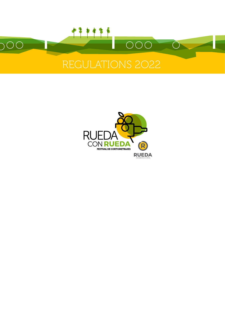

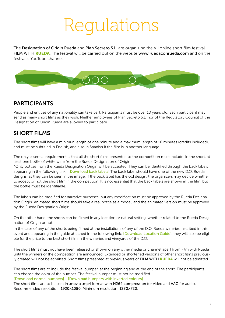## Regulations

The Designation of Origin Rueda and Plan Secreto S.L. are organizing the VII online short film festival FILM WITH RUEDA. The festival will be carried out on the website [www.ruedaconrueda.com](https://ruedaconrueda.com) and on the festival's YouTube channel.



#### PARTICIPANTS

People and entities of any nationality can take part. Participants must be over 18 years old. Each participant may send as many short films as they wish. Neither employees of Plan Secreto S.L. nor of the Regulatory Council of the Designation of Origin Rueda are allowed to participate.

### SHORT FILMS

The short films will have a minimun length of one minute and a maximum length of 10 minutes (credits included), and must be subtitled in English, and also in Spanish if the film is in another language.

The only essential requirement is that all the short films presented to the competition must include, in the short, at least one bottle of white wine from the Rueda Designation of Origin.

\*Only bottles from the Rueda Designation Origin will be accepted. They can be identified through the back labels appearing in the following link: [[Download back labels\]](https://www.ruedaconrueda.com/descargas/contraetiquetas_2022.pdf) The back label should have one of the new D.O. Rueda designs, as they can be seen in the image. If the back label has the old design, the organizers may decide whether to accept or not the short film in the competition. It is not essential that the back labels are shown in the film, but the bottle must be identifiable.

The labels can be modified for narrative purposes, but any modification must be approved by the Rueda Designation Origin. Animated short films should take a real bottle as a model, and the animated version must be approved by the Rueda Designation Origin.

On the other hand, the shorts can be filmed in any location or natural setting, whether related to the Rueda Designation of Origin or not.

In the case of any of the shorts being filmed at the installations of any of the D.O. Rueda wineries inscribed in this event and appearing in the guide attached in the following link: [\[Download Location Guide\]](https://ruedaconrueda.com/descargas/Guia_Localizaciones_Rueda_con_Rueda_2022.pdf), they will also be eligible for the prize to the best short film in the wineries and vineyards of the D.O.

The short films must not have been released or shown on any other media or channel apart from Film with Rueda until the winners of the competition are announced. Extended or shortened versions of other short films previously created will not be admitted. Short films presented at previous years of FILM WITH RUEDA will not be admitted.

The short films are to include the festival bumper, at the beginning and at the end of the short. The participants can choose the color of the bumper. The festival bumper must not be modified. [[Download normal bumpers\]](https://ruedaconrueda.com/descargas/cortinilla_normal_2021.jpg) [\[Download bumpers with inverted colours](https://ruedaconrueda.com/descargas/cortinilla_colores_invertidos_2022.jpg)]

The short films are to be sent in .mov o .mp4 format with H264 compression for video and AAC for audio. Recommended resolution: 1920×1080. Minimum resolution: 1280×720.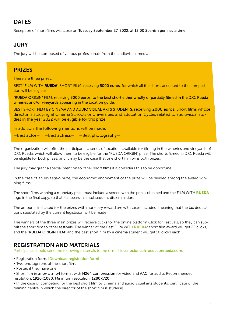## **DATES**

Reception of short films will close on Tuesday September 27, 2022, at 13:00 Spanish peninsula time.

### JURY

The jury will be composed of various professionals from the audiovisual media.

#### **PRIZES**

There are three prizes:

BEST "FILM WITH RUEDA" SHORT FILM, receiving 5000 euros, for which all the shorts accepted to the competition will be eligible.

"RUEDA ORIGIN" FILM, receiving 3000 euros, to the best short either wholly or partially filmed in the D.O. Rueda wineries and/or vineyards appearing in the location guide.

BEST SHORT FILM BY CINEMA AND AUDIO VISUAL ARTS STUDENTS, receiving 2000 euros. Short films whose director is studying at Cinema Schools or Universities and Education Cycles related to audiovisual studies in the year 2022 will be eligible for this prize.

In addition, the following mentions will be made:

—Best actor— —Best actress— —Best photography—

The organization will offer the participants a series of locations available for filming in the wineries and vineyards of D.O. Rueda, which will allow them to be eligible for the "RUEDA ORIGIN" prize. The shorts filmed in D.O. Rueda will be eligible for both prizes, and it may be the case that one short film wins both prizes.

The jury may grant a special mention to other short films if it considers this to be opportune.

In the case of an *ex-aequo* prize, the economic endowment of the prize will be divided among the award winning films.

The short films winning a monetary prize must include a screen with the prizes obtained and the FILM WITH RUEDA logo in the final copy, so that it appears in all subsequent dissemination.

The amounts indicated for the prizes with monetary reward are with taxes included, meaning that the tax deductions stipulated by the current legislation will be made.

The winners of the three main prizes will receive clicks for the online platform Click for Festivals, so they can submit the short film to other festivals. The winner of the Best FILM WITH RUEDA; short film award will get 25 clicks, and the "RUEDA ORIGIN FILM" and the best short film by a cinema student will get 10 clicks each.

#### REGISTRATION AND MATERIALS

Participants should send the following materials to the e-mail [inscripciones@ruedaconrueda.com](mailto:inscripciones@ruedaconrueda.com):

- Registration form. [[Download registration](https://ruedaconrueda.com/descargas/Ficha_Inscripcion_Rueda_con_Rueda_2022.docx) form]
- Two photographs of the short film.
- Poster, if they have one.

• Short film in .mov o .mp4 format with H264 compression for video and AAC for audio. Recommended resolution: 1920×1080. Minimum resolution: 1280×720.

• In the case of competing for the best short film by cinema and audio visual arts students, certificate of the training centre in which the director of the short film is studying.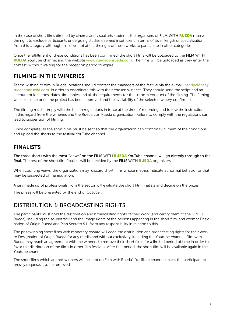In the case of short films directed by cinema and visual arts students, the organisers of FILM WITH RUEDA reserve the right to exclude participants undergoing studies deemed insufficient in terms of level, length or specialization, from this category, although this does not affect the right of these works to participate in other categories.

Once the fulfillment of these conditions has been confirmed, the short films will be uploaded to the FILM WITH RUEDA YouTube channel and the website [www.ruedaconrueda.com](https://ruedaconrueda.com). The films will be uploaded as they enter the contest, without waiting for the reception period to expire.

## FILMING IN THE WINERIES

Teams wishing to film in Rueda locations should contact the managers of the festival via the e-mail [inscripciones@](mailto:inscripciones@ruedaconrueda.com) [ruedaconrueda.com](mailto:inscripciones@ruedaconrueda.com), in order to coordinate this with their chosen wineries. They should send the script and an account of locations, dates, timetables and all the requirements for the smooth conduct of the filming. The filming will take place once the project has been approved and the availability of the selected winery confirmed.

The filming must comply with the health regulations in force at the time of recording and follow the instructions in this regard from the wineries and the Rueda con Rueda organization. Failure to comply with the regulations can lead to suspension of filming.

Once complete, all the short films must be sent so that the organization can confirm fulfillment of the conditions and upload the shorts to the festival YouTube channel.

### FINALISTS

The three shorts with the most "views" on the FILM WITH RUEDA YouTube channel will go directly through to the final. The rest of the short film finalists will be decided by the FILM WITH RUEDA organizers.

When counting views, the organization may discard short films whose metrics indicate abnormal behavior or that may be suspected of manipulation.

A jury made up of professionals from the sector will evaluate the short film finalists and decide on the prizes.

The prizes will be presented by the end of October.

#### DISTRIBUTION & BROADCASTING RIGHTS

The participants must hold the distribution and broadcasting rights of their work (and certify them to the CRDO Rueda), including the soundtrack and the image rights of the persons appearing in the short film, and exempt Designation of Origin Rueda and Plan Secreto S.L. from any responsibility in relation to this.

The prizewinning short films with monetary reward will cede the distribution and broadcasting rights for their work to Designation of Origin Rueda for any media and without exclusivity, including the Youtube channel. Film with Rueda may reach an agreement with the winners to remove their short films for a limited period of time in order to favor the distribution of the films in other film festivals. After that period, the short film will be available again in the Youtube channel.

The short films which are not winners will be kept on Film with Rueda's YouTube channel unless the participant expressly requests it to be removed.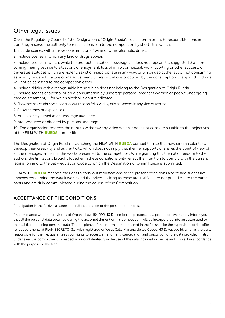### Other legal issues

Given the Regulatory Council of the Designation of Origin Rueda's social commitment to responsible consumption, they reserve the authority to refuse admission to the competition by short films which:

1. Include scenes with abusive consumption of wine or other alcoholic drinks.

2. Include scenes in which any kind of drugs appear.

3. Include scenes in which, while the product —alcoholic beverages— does not appear, it is suggested that consuming them gives rise to situations of enjoyment, loss of inhibition, sexual, work, sporting or other success, or generates attitudes which are violent, sexist or inappropriate in any way, or which depict the fact of not consuming as synonymous with failure or maladjustment. Similar situations produced by the consumption of any kind of drugs will not be admitted to the competition either.

4. Include drinks with a recognisable brand which does not belong to the Designation of Origin Rueda. 5. Include scenes of alcohol or drug consumption by underage persons, pregnant women or people undergoing medical treatment, —for which alcohol is contraindicated.

6. Show scenes of abusive alcohol consumption followed by driving scenes in any kind of vehicle.

7. Show scenes of explicit sex.

- 8. Are explicitly aimed at an underage audience.
- 9. Are produced or directed by persons underage.

10. The organisation reserves the right to withdraw any video which it does not consider suitable to the objectives of the FILM WITH **RUEDA** competition.

The Designation of Origin Rueda is launching the FILM WITH RUEDA competition so that new cinema talents can develop their creativity and authenticity, which does not imply that it either supports or shares the point of view of all the messages implicit in the works presented to the competition. While granting this thematic freedom to the authors, the limitations brought together in these conditions only reflect the intention to comply with the current legislation and to the Self-regulation Code to which the Designation of Origin Rueda is submitted.

FILM WITH RUEDA reserves the right to carry out modifications to the present conditions and to add successive annexes concerning the way it works and the prizes, as long as these are justified, are not prejudicial to the participants and are duly communicated during the course of the Competition.

#### ACCEPTANCE OF THE CONDITIONS

Participation in the festival assumes the full acceptance of the present conditions.

"In compliance with the provisions of Organic Law 15/1999, 13 December on personal data protection, we hereby inform you that all the personal data obtained during the accomplishment of this competition, will be incorporated into an automated or manual file containing personal data. The recipients of the information contained in the file shall be the supervisors of the different departments at PLAN SECRETO, S.L. with registered office at Calle Mariano de los Cobos, 43 D, Valladolid, who, as the party responsible for the file, guarantees your rights to access, amendment, cancellation and opposition of the data provided. It also undertakes the commitment to respect your confidentiality in the use of the data included in the file and to use it in accordance with the purpose of the file."